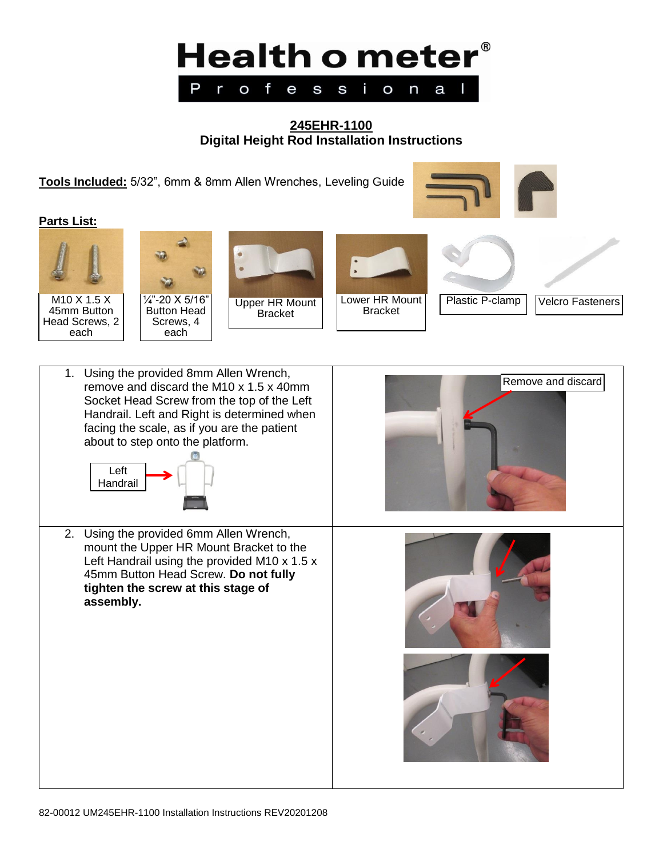

# **245EHR-1100 Digital Height Rod Installation Instructions**

**Tools Included:** 5/32", 6mm & 8mm Allen Wrenches, Leveling Guide





M10 X 1.5 X 45mm Button Head Screws, 2 each





Bracket





Plastic P-clamp | Velcro Fasteners

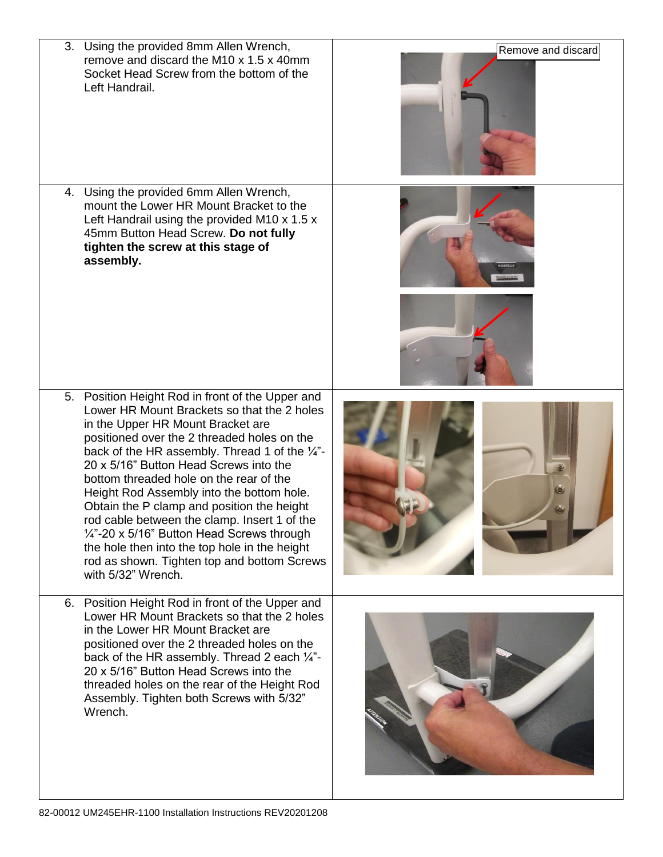| 3. Using the provided 8mm Allen Wrench,<br>remove and discard the M10 x 1.5 x 40mm<br>Socket Head Screw from the bottom of the<br>Left Handrail.                                                                                                                                                                                                                                                                                                                                                                                                                                                                                                              | Remove and discard |
|---------------------------------------------------------------------------------------------------------------------------------------------------------------------------------------------------------------------------------------------------------------------------------------------------------------------------------------------------------------------------------------------------------------------------------------------------------------------------------------------------------------------------------------------------------------------------------------------------------------------------------------------------------------|--------------------|
| 4. Using the provided 6mm Allen Wrench,<br>mount the Lower HR Mount Bracket to the<br>Left Handrail using the provided M10 x 1.5 x<br>45mm Button Head Screw. Do not fully<br>tighten the screw at this stage of<br>assembly.                                                                                                                                                                                                                                                                                                                                                                                                                                 |                    |
| 5. Position Height Rod in front of the Upper and<br>Lower HR Mount Brackets so that the 2 holes<br>in the Upper HR Mount Bracket are<br>positioned over the 2 threaded holes on the<br>back of the HR assembly. Thread 1 of the $\frac{1}{4}$ .<br>20 x 5/16" Button Head Screws into the<br>bottom threaded hole on the rear of the<br>Height Rod Assembly into the bottom hole.<br>Obtain the P clamp and position the height<br>rod cable between the clamp. Insert 1 of the<br>$\frac{1}{4}$ -20 x 5/16" Button Head Screws through<br>the hole then into the top hole in the height<br>rod as shown. Tighten top and bottom Screws<br>with 5/32" Wrench. | Q                  |
| 6. Position Height Rod in front of the Upper and<br>Lower HR Mount Brackets so that the 2 holes<br>in the Lower HR Mount Bracket are<br>positioned over the 2 threaded holes on the<br>back of the HR assembly. Thread 2 each $\frac{1}{4}$ "-<br>20 x 5/16" Button Head Screws into the<br>threaded holes on the rear of the Height Rod<br>Assembly. Tighten both Screws with 5/32"<br>Wrench.                                                                                                                                                                                                                                                               |                    |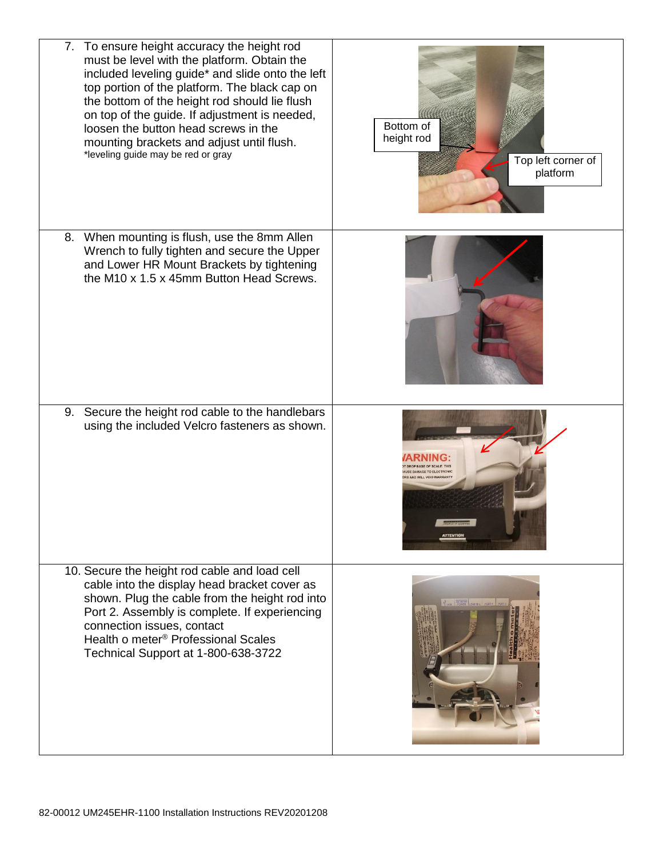| 7. To ensure height accuracy the height rod<br>must be level with the platform. Obtain the<br>included leveling guide* and slide onto the left<br>top portion of the platform. The black cap on<br>the bottom of the height rod should lie flush<br>on top of the guide. If adjustment is needed,<br>loosen the button head screws in the<br>mounting brackets and adjust until flush.<br>*leveling guide may be red or gray | Bottom of<br>height rod<br>Top left corner of<br>platform |
|------------------------------------------------------------------------------------------------------------------------------------------------------------------------------------------------------------------------------------------------------------------------------------------------------------------------------------------------------------------------------------------------------------------------------|-----------------------------------------------------------|
| 8. When mounting is flush, use the 8mm Allen<br>Wrench to fully tighten and secure the Upper<br>and Lower HR Mount Brackets by tightening<br>the M10 x 1.5 x 45mm Button Head Screws.                                                                                                                                                                                                                                        |                                                           |
| 9. Secure the height rod cable to the handlebars<br>using the included Velcro fasteners as shown.                                                                                                                                                                                                                                                                                                                            |                                                           |
| 10. Secure the height rod cable and load cell<br>cable into the display head bracket cover as<br>shown. Plug the cable from the height rod into<br>Port 2. Assembly is complete. If experiencing<br>connection issues, contact<br>Health o meter <sup>®</sup> Professional Scales<br>Technical Support at 1-800-638-3722                                                                                                     |                                                           |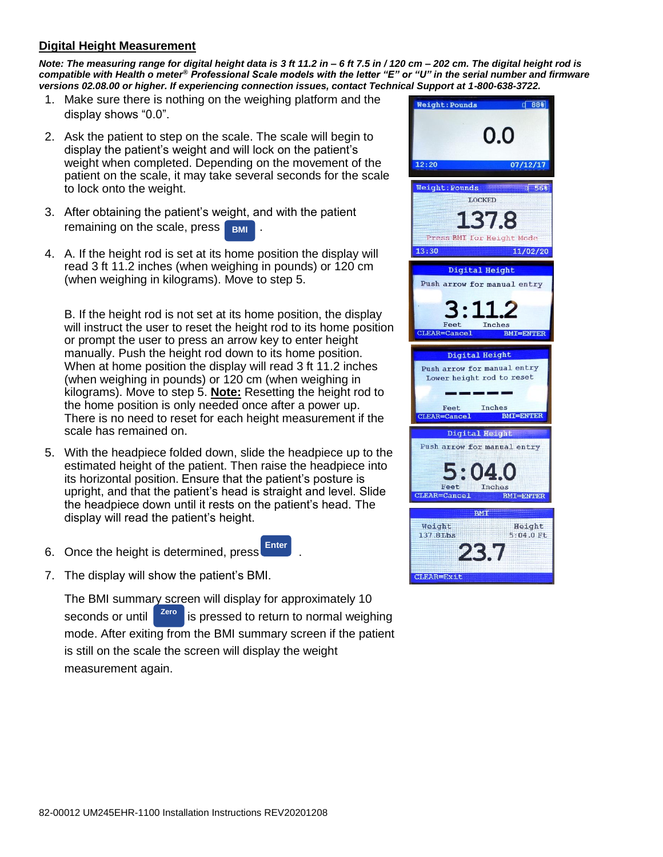## **Digital Height Measurement**

*Note: The measuring range for digital height data is 3 ft 11.2 in – 6 ft 7.5 in / 120 cm – 202 cm. The digital height rod is compatible with Health o meter® Professional Scale models with the letter "E" or "U" in the serial number and firmware versions 02.08.00 or higher. If experiencing connection issues, contact Technical Support at 1-800-638-3722.*

- 1. Make sure there is nothing on the weighing platform and the display shows "0.0".
- 2. Ask the patient to step on the scale. The scale will begin to display the patient's weight and will lock on the patient's weight when completed. Depending on the movement of the patient on the scale, it may take several seconds for the scale to lock onto the weight.
- 3. After obtaining the patient's weight, and with the patient remaining on the scale, press | **BMI**
- 4. A. If the height rod is set at its home position the display will read 3 ft 11.2 inches (when weighing in pounds) or 120 cm (when weighing in kilograms). Move to step 5.

B. If the height rod is not set at its home position, the display will instruct the user to reset the height rod to its home position or prompt the user to press an arrow key to enter height manually. Push the height rod down to its home position. When at home position the display will read 3 ft 11.2 inches (when weighing in pounds) or 120 cm (when weighing in kilograms). Move to step 5. **Note:** Resetting the height rod to the home position is only needed once after a power up. There is no need to reset for each height measurement if the scale has remained on.

- 5. With the headpiece folded down, slide the headpiece up to the estimated height of the patient. Then raise the headpiece into its horizontal position. Ensure that the patient's posture is upright, and that the patient's head is straight and level. Slide the headpiece down until it rests on the patient's head. The display will read the patient's height.
- 6. Once the height is determined, press **Enter**
- 7. The display will show the patient's BMI.

The BMI summary screen will display for approximately 10 is pressed to return to normal weighing mode. After exiting from the BMI summary screen if the patient is still on the scale the screen will display the weight measurement again. seconds or until zero